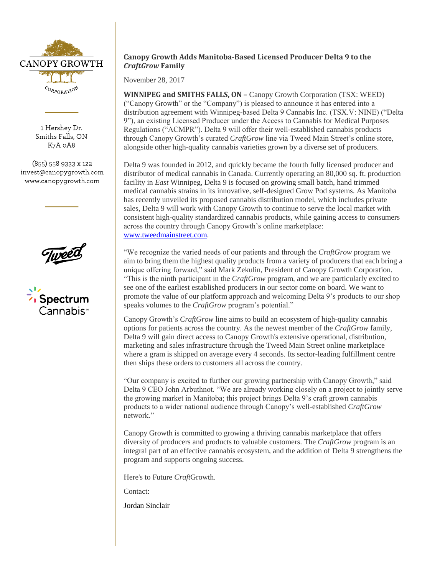

1 Hershey Dr. Smiths Falls, ON K7A 0A8

(855) 558 9333 x 122 invest@canopygrowth.com www.canopygrowth.com



Spectrum Cannabis<sup>.</sup>

# **Canopy Growth Adds Manitoba-Based Licensed Producer Delta 9 to the**  *CraftGrow* **Family**

November 28, 2017

**WINNIPEG and SMITHS FALLS, ON –** Canopy Growth Corporation (TSX: WEED) ("Canopy Growth" or the "Company") is pleased to announce it has entered into a distribution agreement with Winnipeg-based Delta 9 Cannabis Inc. (TSX.V: NINE) ("Delta 9"), an existing Licensed Producer under the Access to Cannabis for Medical Purposes Regulations ("ACMPR"). Delta 9 will offer their well-established cannabis products through Canopy Growth's curated *CraftGrow* line via Tweed Main Street's online store, alongside other high-quality cannabis varieties grown by a diverse set of producers.

Delta 9 was founded in 2012, and quickly became the fourth fully licensed producer and distributor of medical cannabis in Canada. Currently operating an 80,000 sq. ft. production facility in *East* Winnipeg, Delta 9 is focused on growing small batch, hand trimmed medical cannabis strains in its innovative, self-designed Grow Pod systems. As Manitoba has recently unveiled its proposed cannabis distribution model, which includes private sales, Delta 9 will work with Canopy Growth to continue to serve the local market with consistent high-quality standardized cannabis products, while gaining access to consumers across the country through Canopy Growth's online marketplace: [www.tweedmainstreet.com.](http://www.tweedmainstreet.com/)

"We recognize the varied needs of our patients and through the *CraftGrow* program we aim to bring them the highest quality products from a variety of producers that each bring a unique offering forward," said Mark Zekulin, President of Canopy Growth Corporation. "This is the ninth participant in the *CraftGrow* program, and we are particularly excited to see one of the earliest established producers in our sector come on board. We want to promote the value of our platform approach and welcoming Delta 9's products to our shop speaks volumes to the *CraftGrow* program's potential."

Canopy Growth's *CraftGrow* line aims to build an ecosystem of high-quality cannabis options for patients across the country. As the newest member of the *CraftGrow* family, Delta 9 will gain direct access to Canopy Growth's extensive operational, distribution, marketing and sales infrastructure through the Tweed Main Street online marketplace where a gram is shipped on average every 4 seconds. Its sector-leading fulfillment centre then ships these orders to customers all across the country.

"Our company is excited to further our growing partnership with Canopy Growth," said Delta 9 CEO John Arbuthnot. "We are already working closely on a project to jointly serve the growing market in Manitoba; this project brings Delta 9's craft grown cannabis products to a wider national audience through Canopy's well-established *CraftGrow* network."

Canopy Growth is committed to growing a thriving cannabis marketplace that offers diversity of producers and products to valuable customers. The *CraftGrow* program is an integral part of an effective cannabis ecosystem, and the addition of Delta 9 strengthens the program and supports ongoing success.

Here's to Future *Craft*Growth.

Contact:

Jordan Sinclair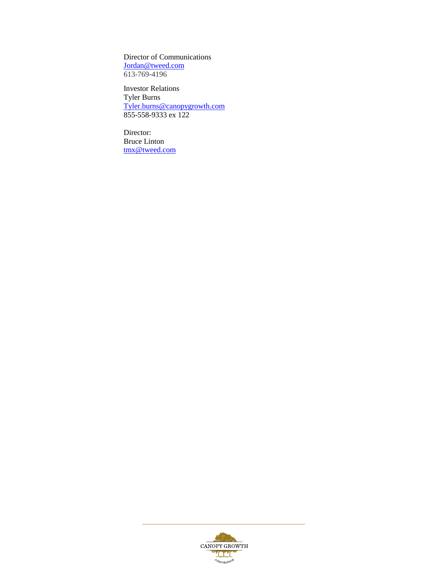Director of Communications [Jordan@tweed.com](mailto:Jordan@tweed.com) 613-769-4196

Investor Relations Tyler Burns [Tyler.burns@canopygrowth.com](mailto:Tyler.burns@canopygrowth.com) 855-558-9333 ex 122

Director: Bruce Linton [tmx@tweed.com](mailto:tmx@tweed.com)